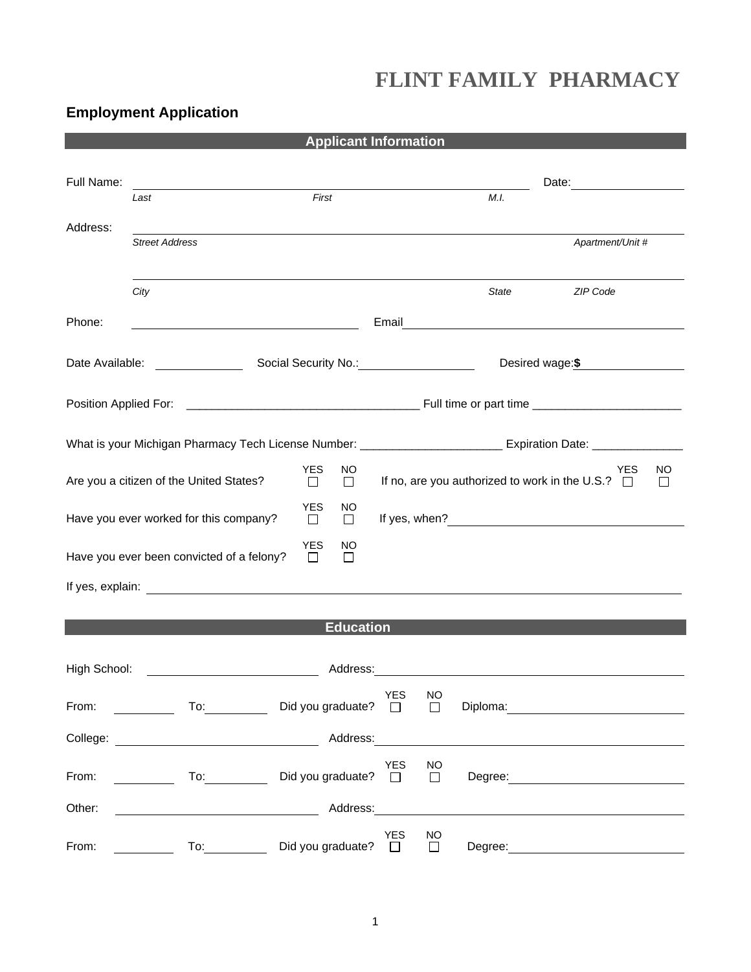# **FLINT FAMILY PHARMACY**

## **Employment Application**

| <b>Applicant Information</b>                                                                                   |                                                                                                                                                                                                                                      |                                      |                                                                                                                |                     |         |                                                                                                                                                                                                                                |  |
|----------------------------------------------------------------------------------------------------------------|--------------------------------------------------------------------------------------------------------------------------------------------------------------------------------------------------------------------------------------|--------------------------------------|----------------------------------------------------------------------------------------------------------------|---------------------|---------|--------------------------------------------------------------------------------------------------------------------------------------------------------------------------------------------------------------------------------|--|
| Full Name:                                                                                                     | <u> 1980 - Jan Samuel Barbara, politik eta politik eta politik eta politik eta politik eta politik eta politik e</u>                                                                                                                 |                                      |                                                                                                                |                     |         |                                                                                                                                                                                                                                |  |
|                                                                                                                | Last                                                                                                                                                                                                                                 | First                                |                                                                                                                |                     | M.I.    |                                                                                                                                                                                                                                |  |
| Address:                                                                                                       | <b>Street Address</b>                                                                                                                                                                                                                |                                      |                                                                                                                |                     |         | Apartment/Unit #                                                                                                                                                                                                               |  |
|                                                                                                                | City                                                                                                                                                                                                                                 |                                      |                                                                                                                |                     | State   | ZIP Code                                                                                                                                                                                                                       |  |
| Phone:                                                                                                         | <u> 1989 - Johann Stoff, deutscher Stoffen und der Stoffen und der Stoffen und der Stoffen und der Stoffen und d</u>                                                                                                                 |                                      |                                                                                                                |                     |         |                                                                                                                                                                                                                                |  |
|                                                                                                                |                                                                                                                                                                                                                                      |                                      |                                                                                                                |                     |         | Desired wage:\$                                                                                                                                                                                                                |  |
|                                                                                                                |                                                                                                                                                                                                                                      |                                      |                                                                                                                |                     |         |                                                                                                                                                                                                                                |  |
| What is your Michigan Pharmacy Tech License Number: ____________________________ Expiration Date: ____________ |                                                                                                                                                                                                                                      |                                      |                                                                                                                |                     |         |                                                                                                                                                                                                                                |  |
|                                                                                                                | Are you a citizen of the United States?                                                                                                                                                                                              | <b>YES</b><br>NO<br>$\Box$<br>$\Box$ |                                                                                                                |                     |         | YES<br>NO<br>If no, are you authorized to work in the U.S.? $\Box$<br>$\mathsf{L}$                                                                                                                                             |  |
| <b>YES</b><br>NO<br>Have you ever worked for this company?<br>$\Box$<br>$\Box$                                 |                                                                                                                                                                                                                                      |                                      |                                                                                                                |                     |         |                                                                                                                                                                                                                                |  |
| <b>YES</b><br>NO<br>Have you ever been convicted of a felony?<br>□<br>$\Box$                                   |                                                                                                                                                                                                                                      |                                      |                                                                                                                |                     |         |                                                                                                                                                                                                                                |  |
|                                                                                                                |                                                                                                                                                                                                                                      |                                      |                                                                                                                |                     |         |                                                                                                                                                                                                                                |  |
| <b>Education</b>                                                                                               |                                                                                                                                                                                                                                      |                                      |                                                                                                                |                     |         |                                                                                                                                                                                                                                |  |
| High School:<br>Address:                                                                                       |                                                                                                                                                                                                                                      |                                      |                                                                                                                |                     |         |                                                                                                                                                                                                                                |  |
| From:                                                                                                          | To: the contract of the contract of the contract of the contract of the contract of the contract of the contract of the contract of the contract of the contract of the contract of the contract of the contract of the contra       | Did you graduate? $\Box$             | <b>YES</b>                                                                                                     | <b>NO</b><br>$\Box$ |         | Diploma: the contract of the contract of the contract of the contract of the contract of the contract of the contract of the contract of the contract of the contract of the contract of the contract of the contract of the c |  |
|                                                                                                                | College: <u>with the colle</u> ge of the college of the college of the college of the college of the college of the college of the college of the college of the college of the college of the college of the college of the college |                                      | Address: Andreas and the state of the state of the state of the state of the state of the state of the state o |                     |         |                                                                                                                                                                                                                                |  |
| From:                                                                                                          | $\overline{10}$ :                                                                                                                                                                                                                    | Did you graduate? $\square$          | <b>YES</b>                                                                                                     | <b>NO</b><br>$\Box$ |         | Degree: <u>______________________________</u>                                                                                                                                                                                  |  |
| Other:                                                                                                         |                                                                                                                                                                                                                                      | Address:                             |                                                                                                                |                     |         |                                                                                                                                                                                                                                |  |
| From:                                                                                                          | To: the contract of the contract of the contract of the contract of the contract of the contract of the contract of the contract of the contract of the contract of the contract of the contract of the contract of the contra       | Did you graduate?                    | YES<br>$\Box$                                                                                                  | <b>NO</b><br>$\Box$ | Degree: |                                                                                                                                                                                                                                |  |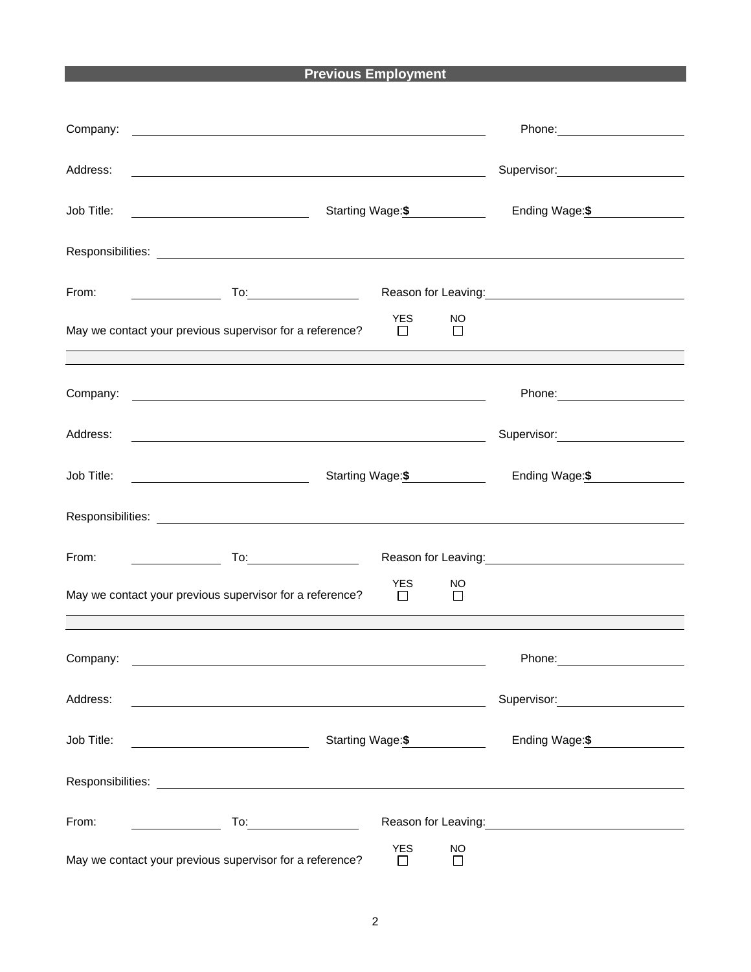## **Previous Employment**

| Company:   | <u> 1990 - John Harry Harry Harry Harry Harry Harry Harry Harry Harry Harry Harry Harry Harry Harry Harry Harry H</u>                                                                                                                |                                                                                                                                                                                                                                        |
|------------|--------------------------------------------------------------------------------------------------------------------------------------------------------------------------------------------------------------------------------------|----------------------------------------------------------------------------------------------------------------------------------------------------------------------------------------------------------------------------------------|
| Address:   | <u> 1989 - Johann Barn, mars ann an t-Amhainn an t-Amhainn an t-Amhainn an t-Amhainn an t-Amhainn an t-Amhainn an</u>                                                                                                                | Supervisor: Victor Communication Communication                                                                                                                                                                                         |
| Job Title: | Starting Wage: \$                                                                                                                                                                                                                    | Ending Wage: \$                                                                                                                                                                                                                        |
|            |                                                                                                                                                                                                                                      |                                                                                                                                                                                                                                        |
|            |                                                                                                                                                                                                                                      | Reason for Leaving:<br><u>Next and the manufacture of the set of the set of the set of the set of the set of the set of the set of the set of the set of the set of the set of the set of the set of the set of the set of the set</u> |
|            | YES NO<br>May we contact your previous supervisor for a reference?<br>$\Box$<br>$\perp$                                                                                                                                              |                                                                                                                                                                                                                                        |
|            |                                                                                                                                                                                                                                      |                                                                                                                                                                                                                                        |
|            | Company: <u>example and the set of the set of the set of the set of the set of the set of the set of the set of the set of the set of the set of the set of the set of the set of the set of the set of the set of the set of th</u> | Phone: 2008                                                                                                                                                                                                                            |
|            |                                                                                                                                                                                                                                      | Supervisor: Victor Communication Communication                                                                                                                                                                                         |
|            | Starting Wage: \$                                                                                                                                                                                                                    | Ending Wage: \$                                                                                                                                                                                                                        |
|            |                                                                                                                                                                                                                                      |                                                                                                                                                                                                                                        |
|            |                                                                                                                                                                                                                                      | Reason for Leaving: Network of the Reason for Leaving:                                                                                                                                                                                 |
|            | <b>YES</b><br>NO.<br>May we contact your previous supervisor for a reference? $\Box$<br>$\Box$                                                                                                                                       |                                                                                                                                                                                                                                        |
|            |                                                                                                                                                                                                                                      |                                                                                                                                                                                                                                        |
| Company:   |                                                                                                                                                                                                                                      | Phone:                                                                                                                                                                                                                                 |
| Address:   |                                                                                                                                                                                                                                      | Supervisor: <b>Example 2019</b>                                                                                                                                                                                                        |
| Job Title: | Starting Wage: \$<br><u> 1980 - Johann Barbara, martin a</u>                                                                                                                                                                         | Ending Wage:\$                                                                                                                                                                                                                         |
|            |                                                                                                                                                                                                                                      |                                                                                                                                                                                                                                        |
|            |                                                                                                                                                                                                                                      | Reason for Leaving:<br><u>Neason</u> for Leaving:                                                                                                                                                                                      |
|            | <b>YES</b><br>NO.<br>May we contact your previous supervisor for a reference?<br>$\Box$<br>$\Box$                                                                                                                                    |                                                                                                                                                                                                                                        |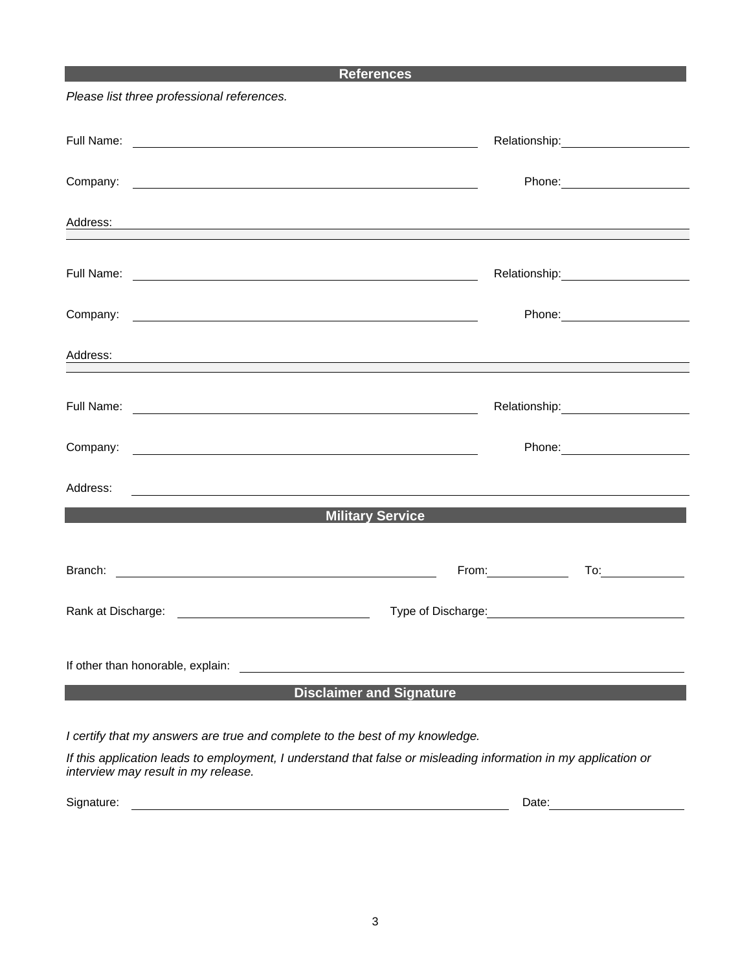### **References**

*Please list three professional references.*

| Address:<br>the control of the control of the control of the control of the control of the control of the control of the control of the control of the control of the control of the control of the control of the control of the control |                   |  |  |  |  |  |
|-------------------------------------------------------------------------------------------------------------------------------------------------------------------------------------------------------------------------------------------|-------------------|--|--|--|--|--|
|                                                                                                                                                                                                                                           |                   |  |  |  |  |  |
|                                                                                                                                                                                                                                           |                   |  |  |  |  |  |
| Address:<br><u> 1989 - Johann Stoff, deutscher Stoffen und der Stoffen und der Stoffen und der Stoffen und der Stoffen und der</u>                                                                                                        |                   |  |  |  |  |  |
|                                                                                                                                                                                                                                           |                   |  |  |  |  |  |
|                                                                                                                                                                                                                                           |                   |  |  |  |  |  |
| Address:<br><u> 1989 - Johann Barbara, martin amerikan basal dan berasal dan berasal dalam basal dan berasal dan berasal dan</u>                                                                                                          |                   |  |  |  |  |  |
| <u>Military Service Andrew Service</u> And The Contract of the Contract of the Contract of the Contract of the Contract of the Contract of the Contract of the Contract of the Contract of the Contract of the Contract of the Cont       |                   |  |  |  |  |  |
|                                                                                                                                                                                                                                           | From: To: To: To: |  |  |  |  |  |
|                                                                                                                                                                                                                                           |                   |  |  |  |  |  |
| If other than honorable, explain: The contract of the contract of the contract of the contract of the contract of the contract of the contract of the contract of the contract of the contract of the contract of the contract            |                   |  |  |  |  |  |
| Disclaimer and Signature and the control of the state of the state of the state of the state of the state of the                                                                                                                          |                   |  |  |  |  |  |
| I certify that my answers are true and complete to the best of my knowledge.                                                                                                                                                              |                   |  |  |  |  |  |

*If this application leads to employment, I understand that false or misleading information in my application or interview may result in my release.*

Signature: Date: